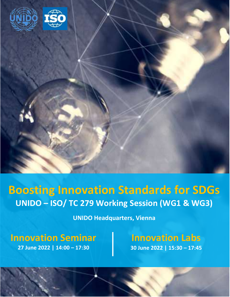

# **Boosting Innovation Standards for SDGs UNIDO – ISO/ TC 279 Working Session (WG1 & WG3)**

**UNIDO Headquarters, Vienna**

**Innovation Seminar 27 June 2022 | 14:00 – 17:30** 

**Innovation Labs 30 June 2022 | 15:30 – 17:45**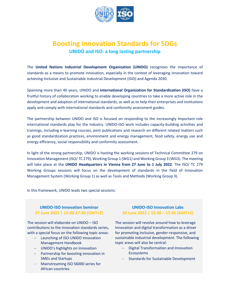

## **Boosting Innovation Standards for SDGs UNIDO and ISO: a long lasting partnership**

The **United Nations Industrial Development Organization (UNIDO)** recognizes the importance of standards as a means to promote innovation, especially in the context of leveraging innovation toward achieving Inclusive and Sustainable Industrial Development (ISID) and Agenda 2030.

Spanning more than 40 years, UNIDO and **International Organization for Standardization (ISO)** have a fruitful history of collaboration working to enable developing countries to take a more active role in the development and adoption of international standards, as well as to help their enterprises and institutions apply and comply with international standards and conformity assessment guides.

The partnership between UNIDO and ISO is focused on responding to the increasingly important role international standards play for the Industry. UNIDO-ISO work includes capacity-building activities and trainings, including e-learning courses, joint publications and research on different related matters such as good standardization practices, environment and energy management, food safety, energy use and energy efficiency, social responsibility and conformity assessment.

In light of the strong partnership, UNIDO is hosting the working sessions of Technical Committee 279 on Innovation Management (ISO/ TC 279), Working Group 1 (WG1) and Working Group 3 (WG3). The meeting will take place at the **UNIDO Headquarters in Vienna from 27 June to 1 July 2022**. The ISO/ TC 279 Working Groups sessions will focus on the development of standards in the field of Innovation Management System (Working Group 1) as well as Tools and Methods (Working Group 3).

In this framework, UNIDO leads two special sessions:

### **UNIDO-ISO Innovation Seminar 27 June 2022 | 14:00-17:30 (GMT+2)**

The session will elaborate on UNIDO – ISO contributions to the innovation standards series, with a special focus on the following topic areas:

- Launching of ISO-UNIDO Innovation Management Handbook
- UNIDO's highlights on Innovation
- Partnership for boosting innovation in SMEs and Startups
- Mainstreaming ISO 56000 series for African countries

#### **UNIDO-ISO Innovation Labs 30 June 2022 | 15:30 – 17:45 (GMT+2)**

The session will revolve around how to leverage Innovation and digital transformation as a driver for promoting inclusive, gender-responsive, and sustainable industrial development. The following topic areas will also be central:

- Digital Transformation and Innovation Ecosystems
- Standards for Sustainable Development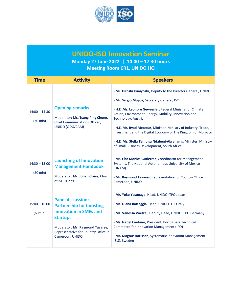

**UNIDO-ISO Innovation Seminar**

**Monday 27 June 2022 | 14:00 – 17:30 hours Meeting Room CR1, UNIDO HQ**

| <b>Time</b>                           | <b>Activity</b>                                                                                                                                                                                        | <b>Speakers</b>                                                                                                                                                                                                                                                                                                                                                                                                                                                                                                 |
|---------------------------------------|--------------------------------------------------------------------------------------------------------------------------------------------------------------------------------------------------------|-----------------------------------------------------------------------------------------------------------------------------------------------------------------------------------------------------------------------------------------------------------------------------------------------------------------------------------------------------------------------------------------------------------------------------------------------------------------------------------------------------------------|
| $14:00 - 14:30$<br>$(30 \text{ min})$ | <b>Opening remarks</b><br>Moderator: Ms. Tsung Ping Chung,<br>Chief Communications Officer,<br>UNIDO (ODG/CAM)                                                                                         | - Mr. Hiroshi Kuniyoshi, Deputy to the Director General, UNIDO<br>- Mr. Sergio Mujica, Secretary General, ISO<br>- H.E. Ms. Leonore Gewessler, Federal Ministry for Climate<br>Action, Environment, Energy, Mobility, Innovation and<br>Technology, Austria<br>- H.E. Mr. Ryad Mezzour, Minister, Ministry of Industry, Trade,<br>Investment and the Digital Economy of The Kingdom of Morocco<br>- H.E. Ms. Stella Tembisa Ndabeni-Abrahams, Minister, Ministry<br>of Small Business Development, South Africa |
| $14:30 - 15:00$<br>$(30 \text{ min})$ | <b>Launching of Innovation</b><br><b>Management Handbook</b><br>Moderator: Mr. Johan Claire, Chair<br>of ISO TC279                                                                                     | - Ms. Flor Monica Gutierrez, Coordinator for Management<br>Systems, The National Autonomous University of Mexico<br>(UNAM)<br>- Mr. Raymond Tavares, Representative for Country Office in<br>Cameroon, UNIDO                                                                                                                                                                                                                                                                                                    |
| $15:00 - 16:00$<br>(60min)            | <b>Panel discussion:</b><br><b>Partnership for boosting</b><br>innovation in SMEs and<br><b>Startups</b><br>Moderator: Mr. Raymond Tavares,<br>Representative for Country Office in<br>Cameroon, UNIDO | - Mr. Yoko Yasunaga, Head, UNIDO ITPO Japan<br>- Ms. Diana Battaggia, Head, UNIDO ITPO Italy<br>- Ms. Vanessa Voelkel, Deputy Head, UNIDO ITPO Germany<br>- Ms. Isabel Caetano, President, Portuguese Technical<br>Committee for Innovation Management (IPQ)<br>- Mr. Magnus Karlsson, Systematic Innovation Management<br>(SIS), Sweden                                                                                                                                                                        |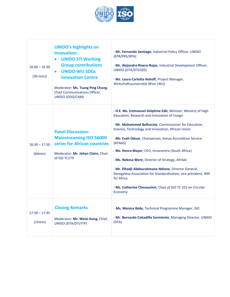

Г

| $16:00 - 16:30$<br>$(30 \text{ mins})$ | <b>UNIDO's highlights on</b><br>Innovation:<br><b>UNIDO STI Working</b><br>$\bullet$<br><b>Group contributions</b><br><b>UNIDO-WU SDGs</b><br>$\bullet$<br><b>Innovation Centre</b><br>Moderator: Ms. Tsung Ping Chung,<br>Chief Communications Officer,<br>UNIDO (ODG/CAM) | - Mr. Fernando Santiago, Industrial Policy Officer, UNIDO<br>(EPR/PRS/RPA)<br>- Mr. Alejandro Rivera-Rojas, Industrial Development Officer,<br>UNIDO (DTA/DTI/QIS)<br>- Ms. Laura Carlotta Hohoff, Project Manager,<br>Wirtschaftsuniversität Wien (WU)                                                                                                                                                                                                                                                                                                                                                                        |
|----------------------------------------|-----------------------------------------------------------------------------------------------------------------------------------------------------------------------------------------------------------------------------------------------------------------------------|--------------------------------------------------------------------------------------------------------------------------------------------------------------------------------------------------------------------------------------------------------------------------------------------------------------------------------------------------------------------------------------------------------------------------------------------------------------------------------------------------------------------------------------------------------------------------------------------------------------------------------|
| $16:30 - 17:30$<br>(60min)             | <b>Panel Discussion:</b><br><b>Mainstreaming ISO 56000</b><br>series for African countries<br>Moderator: Mr. Johan Claire, Chair<br>of ISO TC279                                                                                                                            | - H.E. Ms. Emmanuel Delphine Edit, Minister, Ministry of High<br>Education, Research and Innovation of Congo<br>- Mr. Mohammed Belhocine, Commissioner for Education,<br>Science, Technology and Innovation, African Union<br>- Ms. Evah Oduor, Chairperson, Kenya Accredition Service<br>(KENAS)<br>- Ms. Henra Mayer, CEO, Innocentrix (South Africa)<br>- Ms. Nekesa Were, Director of Strategy, Afrilab<br>- Mr. Elhadji Abdourahmane Ndione, Director General,<br>Senegalese Association for Standardization; vice president, RNF<br>for Africa<br>- Ms. Catherine Chevauchet, Chair of ISO TC 323 on Circular<br>Economy |
| $17:30 - 17:45$<br>(15min)             | <b>Closing Remarks</b><br>Moderator: Mr. Weixi Gong, Chief,<br>UNIDO (DTA/DTI/ITP)                                                                                                                                                                                          | - Ms. Monica Ibido, Technical Programme Manager, ISO<br>- Mr. Bernardo Calzadilla Sarmiento, Managing Director, UNIDO<br>(DTA)                                                                                                                                                                                                                                                                                                                                                                                                                                                                                                 |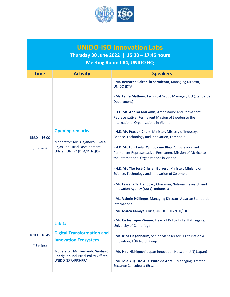

## **UNIDO-ISO Innovation Labs Thursday 30 June 2022 | 15:30 – 17:45 hours Meeting Room CR4, UNIDO HQ**

| <b>Time</b>                            | <b>Activity</b>                                                                                                             | <b>Speakers</b>                                                                                                                                                |
|----------------------------------------|-----------------------------------------------------------------------------------------------------------------------------|----------------------------------------------------------------------------------------------------------------------------------------------------------------|
| $15:30 - 16:00$<br>$(30 \text{ mins})$ | <b>Opening remarks</b><br>Moderator: Mr. Alejandro Rivera-<br>Rojas, Industrial Development<br>Officer, UNIDO (DTA/DTI/QIS) | - Mr. Bernardo Calzadilla Sarmiento, Managing Director,<br>UNIDO (DTA)                                                                                         |
|                                        |                                                                                                                             | - Ms. Laura Mathew, Technical Group Manager, ISO (Standards<br>Department)                                                                                     |
|                                        |                                                                                                                             | - H.E. Ms. Annika Markovic, Ambassador and Permanent<br>Representative, Permanent Mission of Sweden to the<br>International Organisations in Vienna            |
|                                        |                                                                                                                             | - H.E. Mr. Prasidh Cham, Minister, Ministry of Industry,<br>Science, Technology and Innovation, Cambodia                                                       |
|                                        |                                                                                                                             | - H.E. Mr. Luis Javier Campuzano Pina, Ambassador and<br>Permanent Representative, Permanent Mission of Mexico to<br>the International Organizations in Vienna |
|                                        |                                                                                                                             | - H.E. Mr. Tito José Crissien Borrero, Minister, Ministry of<br>Science, Technology and Innovation of Colombia                                                 |
|                                        |                                                                                                                             | - Mr. Laksana Tri Handoko, Chairman, National Research and<br>Innovation Agency (BRIN), Indonesia                                                              |
|                                        |                                                                                                                             | - Ms. Valerie Höllinger, Managing Director, Austrian Standards<br>International                                                                                |
|                                        |                                                                                                                             | - Mr. Marco Kamiya, Chief, UNIDO (DTA/DTI/IDD)                                                                                                                 |
| $16:00 - 16:45$<br>$(45 \text{ mins})$ | Lab $1:$                                                                                                                    | - Mr. Carlos López-Gómez, Head of Policy Links, IfM Engage,<br><b>University of Cambridge</b>                                                                  |
|                                        | <b>Digital Transformation and</b><br><b>Innovation Ecosystem</b>                                                            | - Ms. Irina Fiegenbaum, Senior Manager for Digitalisation &<br>Innovation, TÜV Nord Group                                                                      |
|                                        | Moderator: Mr. Fernando Santiago<br>Rodriguez, Industrial Policy Officer,<br>UNIDO (EPR/PRS/RPA)                            | - Mr. Hiro Nishiguchi, Japan Innovation Network (JIN) (Japan)                                                                                                  |
|                                        |                                                                                                                             | - Mr. José Augusto A. K. Pinto de Abreu, Managing Director,<br>Sextante Consultoria (Brazil)                                                                   |